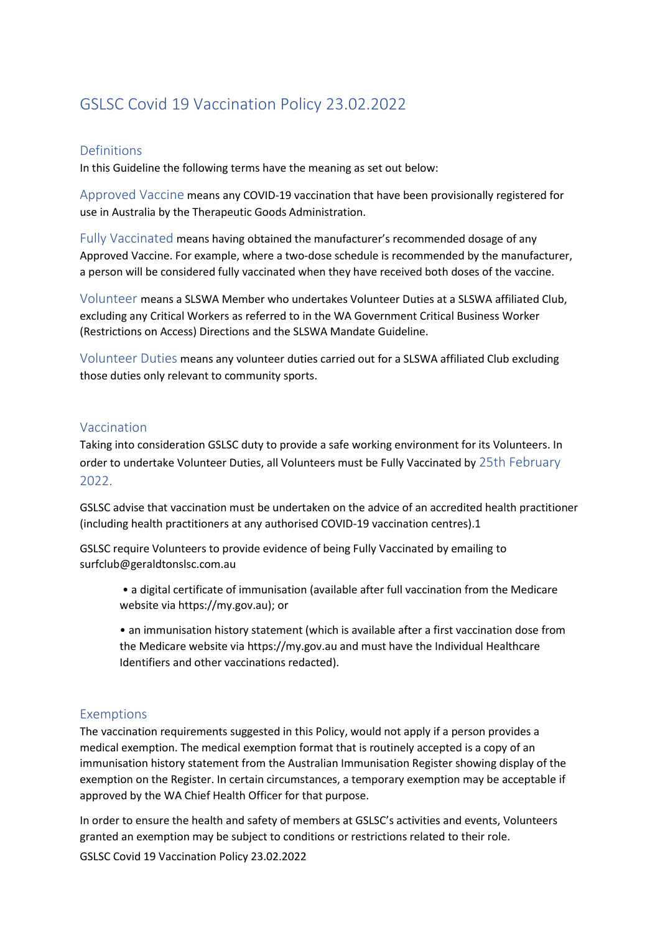# GSLSC Covid 19 Vaccination Policy 23.02.2022

## Definitions

In this Guideline the following terms have the meaning as set out below:

Approved Vaccine means any COVID-19 vaccination that have been provisionally registered for use in Australia by the Therapeutic Goods Administration.

Fully Vaccinated means having obtained the manufacturer's recommended dosage of any Approved Vaccine. For example, where a two-dose schedule is recommended by the manufacturer, a person will be considered fully vaccinated when they have received both doses of the vaccine.

Volunteer means a SLSWA Member who undertakes Volunteer Duties at a SLSWA affiliated Club, excluding any Critical Workers as referred to in the WA Government Critical Business Worker (Restrictions on Access) Directions and the SLSWA Mandate Guideline.

Volunteer Duties means any volunteer duties carried out for a SLSWA affiliated Club excluding those duties only relevant to community sports.

#### Vaccination

Taking into consideration GSLSC duty to provide a safe working environment for its Volunteers. In order to undertake Volunteer Duties, all Volunteers must be Fully Vaccinated by 25th February 2022.

GSLSC advise that vaccination must be undertaken on the advice of an accredited health practitioner (including health practitioners at any authorised COVID-19 vaccination centres).1

GSLSC require Volunteers to provide evidence of being Fully Vaccinated by emailing to surfclub@geraldtonslsc.com.au

- a digital certificate of immunisation (available after full vaccination from the Medicare website via https://my.gov.au); or
- an immunisation history statement (which is available after a first vaccination dose from the Medicare website via https://my.gov.au and must have the Individual Healthcare Identifiers and other vaccinations redacted).

## Exemptions

The vaccination requirements suggested in this Policy, would not apply if a person provides a medical exemption. The medical exemption format that is routinely accepted is a copy of an immunisation history statement from the Australian Immunisation Register showing display of the exemption on the Register. In certain circumstances, a temporary exemption may be acceptable if approved by the WA Chief Health Officer for that purpose.

In order to ensure the health and safety of members at GSLSC's activities and events, Volunteers granted an exemption may be subject to conditions or restrictions related to their role.

GSLSC Covid 19 Vaccination Policy 23.02.2022